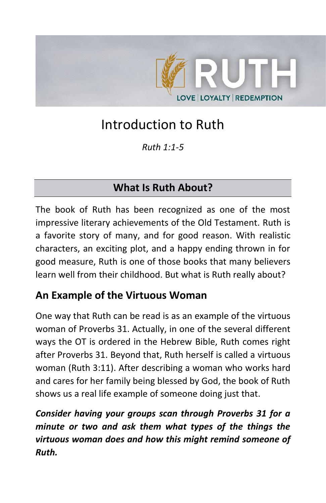

# Introduction to Ruth

*Ruth 1:1-5*

## **What Is Ruth About?**

The book of Ruth has been recognized as one of the most impressive literary achievements of the Old Testament. Ruth is a favorite story of many, and for good reason. With realistic characters, an exciting plot, and a happy ending thrown in for good measure, Ruth is one of those books that many believers learn well from their childhood. But what is Ruth really about?

## **An Example of the Virtuous Woman**

One way that Ruth can be read is as an example of the virtuous woman of Proverbs 31. Actually, in one of the several different ways the OT is ordered in the Hebrew Bible, Ruth comes right after Proverbs 31. Beyond that, Ruth herself is called a virtuous woman (Ruth 3:11). After describing a woman who works hard and cares for her family being blessed by God, the book of Ruth shows us a real life example of someone doing just that.

*Consider having your groups scan through Proverbs 31 for a minute or two and ask them what types of the things the virtuous woman does and how this might remind someone of Ruth.*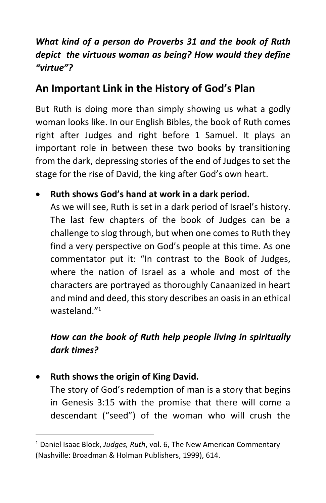### *What kind of a person do Proverbs 31 and the book of Ruth depict the virtuous woman as being? How would they define "virtue"?*

## **An Important Link in the History of God's Plan**

But Ruth is doing more than simply showing us what a godly woman looks like. In our English Bibles, the book of Ruth comes right after Judges and right before 1 Samuel. It plays an important role in between these two books by transitioning from the dark, depressing stories of the end of Judges to set the stage for the rise of David, the king after God's own heart.

#### • **Ruth shows God's hand at work in a dark period.**

As we will see, Ruth is set in a dark period of Israel's history. The last few chapters of the book of Judges can be a challenge to slog through, but when one comes to Ruth they find a very perspective on God's people at this time. As one commentator put it: "In contrast to the Book of Judges, where the nation of Israel as a whole and most of the characters are portrayed as thoroughly Canaanized in heart and mind and deed, this story describes an oasis in an ethical wasteland." 1

### *How can the book of Ruth help people living in spiritually dark times?*

#### • **Ruth shows the origin of King David.**

The story of God's redemption of man is a story that begins in Genesis 3:15 with the promise that there will come a descendant ("seed") of the woman who will crush the

<sup>1</sup> Daniel Isaac Block, *[Judges, Ruth](https://ref.ly/logosres/nac06?ref=Bible.Ru&off=67971)*, vol. 6, The New American Commentary (Nashville: Broadman & Holman Publishers, 1999), 614.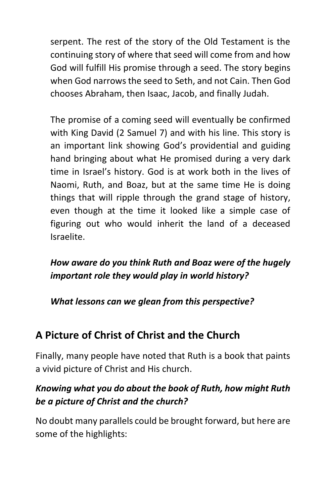serpent. The rest of the story of the Old Testament is the continuing story of where that seed will come from and how God will fulfill His promise through a seed. The story begins when God narrows the seed to Seth, and not Cain. Then God chooses Abraham, then Isaac, Jacob, and finally Judah.

The promise of a coming seed will eventually be confirmed with King David (2 Samuel 7) and with his line. This story is an important link showing God's providential and guiding hand bringing about what He promised during a very dark time in Israel's history. God is at work both in the lives of Naomi, Ruth, and Boaz, but at the same time He is doing things that will ripple through the grand stage of history, even though at the time it looked like a simple case of figuring out who would inherit the land of a deceased Israelite.

*How aware do you think Ruth and Boaz were of the hugely important role they would play in world history?* 

*What lessons can we glean from this perspective?*

## **A Picture of Christ of Christ and the Church**

Finally, many people have noted that Ruth is a book that paints a vivid picture of Christ and His church.

### *Knowing what you do about the book of Ruth, how might Ruth be a picture of Christ and the church?*

No doubt many parallels could be brought forward, but here are some of the highlights: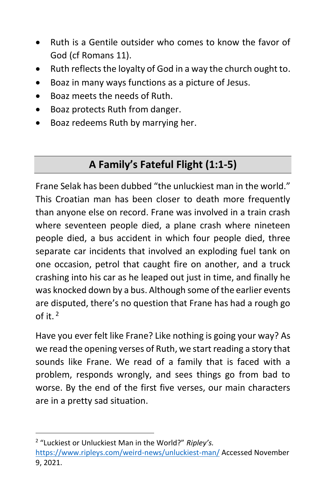- Ruth is a Gentile outsider who comes to know the favor of God (cf Romans 11).
- Ruth reflects the loyalty of God in a way the church ought to.
- Boaz in many ways functions as a picture of Jesus.
- Boaz meets the needs of Ruth.
- Boaz protects Ruth from danger.
- Boaz redeems Ruth by marrying her.

## **A Family's Fateful Flight (1:1-5)**

Frane Selak has been dubbed "the unluckiest man in the world." This Croatian man has been closer to death more frequently than anyone else on record. Frane was involved in a train crash where seventeen people died, a plane crash where nineteen people died, a bus accident in which four people died, three separate car incidents that involved an exploding fuel tank on one occasion, petrol that caught fire on another, and a truck crashing into his car as he leaped out just in time, and finally he was knocked down by a bus. Although some of the earlier events are disputed, there's no question that Frane has had a rough go of it.  $2$ 

Have you ever felt like Frane? Like nothing is going your way? As we read the opening verses of Ruth, we start reading a story that sounds like Frane. We read of a family that is faced with a problem, responds wrongly, and sees things go from bad to worse. By the end of the first five verses, our main characters are in a pretty sad situation.

<sup>2</sup> "Luckiest or Unluckiest Man in the World?" *Ripley's.*  <https://www.ripleys.com/weird-news/unluckiest-man/> Accessed November 9, 2021.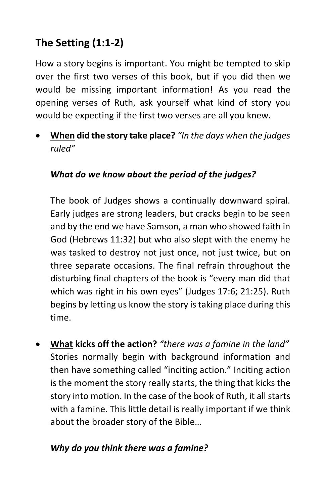## **The Setting (1:1-2)**

How a story begins is important. You might be tempted to skip over the first two verses of this book, but if you did then we would be missing important information! As you read the opening verses of Ruth, ask yourself what kind of story you would be expecting if the first two verses are all you knew.

• **When did the story take place?** *"In the days when the judges ruled"*

#### *What do we know about the period of the judges?*

The book of Judges shows a continually downward spiral. Early judges are strong leaders, but cracks begin to be seen and by the end we have Samson, a man who showed faith in God (Hebrews 11:32) but who also slept with the enemy he was tasked to destroy not just once, not just twice, but on three separate occasions. The final refrain throughout the disturbing final chapters of the book is "every man did that which was right in his own eyes" (Judges 17:6; 21:25). Ruth begins by letting us know the story is taking place during this time.

• **What kicks off the action?** *"there was a famine in the land"* Stories normally begin with background information and then have something called "inciting action." Inciting action is the moment the story really starts, the thing that kicks the story into motion. In the case of the book of Ruth, it all starts with a famine. This little detail is really important if we think about the broader story of the Bible…

#### *Why do you think there was a famine?*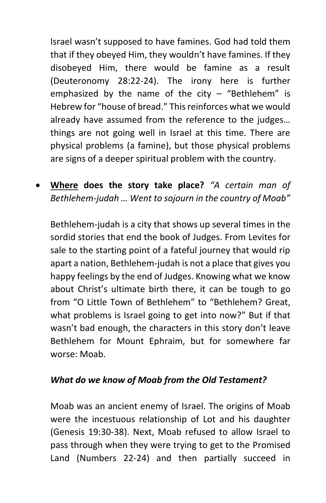Israel wasn't supposed to have famines. God had told them that if they obeyed Him, they wouldn't have famines. If they disobeyed Him, there would be famine as a result (Deuteronomy 28:22-24). The irony here is further emphasized by the name of the city  $-$  "Bethlehem" is Hebrew for "house of bread." This reinforces what we would already have assumed from the reference to the judges… things are not going well in Israel at this time. There are physical problems (a famine), but those physical problems are signs of a deeper spiritual problem with the country.

• **Where does the story take place?** *"A certain man of Bethlehem-judah … Went to sojourn in the country of Moab"*

Bethlehem-judah is a city that shows up several times in the sordid stories that end the book of Judges. From Levites for sale to the starting point of a fateful journey that would rip apart a nation, Bethlehem-judah is not a place that gives you happy feelings by the end of Judges. Knowing what we know about Christ's ultimate birth there, it can be tough to go from "O Little Town of Bethlehem" to "Bethlehem? Great, what problems is Israel going to get into now?" But if that wasn't bad enough, the characters in this story don't leave Bethlehem for Mount Ephraim, but for somewhere far worse: Moab.

#### *What do we know of Moab from the Old Testament?*

Moab was an ancient enemy of Israel. The origins of Moab were the incestuous relationship of Lot and his daughter (Genesis 19:30-38). Next, Moab refused to allow Israel to pass through when they were trying to get to the Promised Land (Numbers 22-24) and then partially succeed in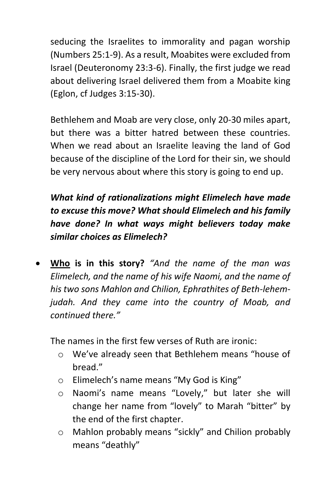seducing the Israelites to immorality and pagan worship (Numbers 25:1-9). As a result, Moabites were excluded from Israel (Deuteronomy 23:3-6). Finally, the first judge we read about delivering Israel delivered them from a Moabite king (Eglon, cf Judges 3:15-30).

Bethlehem and Moab are very close, only 20-30 miles apart, but there was a bitter hatred between these countries. When we read about an Israelite leaving the land of God because of the discipline of the Lord for their sin, we should be very nervous about where this story is going to end up.

*What kind of rationalizations might Elimelech have made to excuse this move? What should Elimelech and his family have done? In what ways might believers today make similar choices as Elimelech?*

• **Who is in this story?** *"And the name of the man was Elimelech, and the name of his wife Naomi, and the name of his two sons Mahlon and Chilion, Ephrathites of Beth-lehemjudah. And they came into the country of Moab, and continued there."*

The names in the first few verses of Ruth are ironic:

- o We've already seen that Bethlehem means "house of bread."
- o Elimelech's name means "My God is King"
- o Naomi's name means "Lovely," but later she will change her name from "lovely" to Marah "bitter" by the end of the first chapter.
- o Mahlon probably means "sickly" and Chilion probably means "deathly"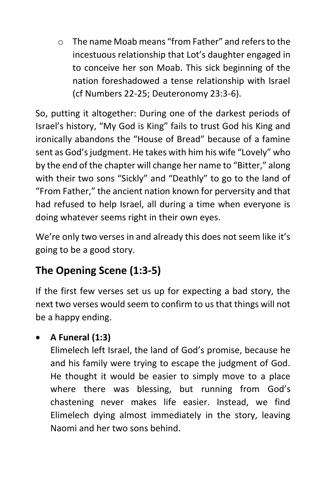o The name Moab means "from Father" and refersto the incestuous relationship that Lot's daughter engaged in to conceive her son Moab. This sick beginning of the nation foreshadowed a tense relationship with Israel (cf Numbers 22-25; Deuteronomy 23:3-6).

So, putting it altogether: During one of the darkest periods of Israel's history, "My God is King" fails to trust God his King and ironically abandons the "House of Bread" because of a famine sent as God's judgment. He takes with him his wife "Lovely" who by the end of the chapter will change her name to "Bitter," along with their two sons "Sickly" and "Deathly" to go to the land of "From Father," the ancient nation known for perversity and that had refused to help Israel, all during a time when everyone is doing whatever seems right in their own eyes.

We're only two verses in and already this does not seem like it's going to be a good story.

## **The Opening Scene (1:3-5)**

If the first few verses set us up for expecting a bad story, the next two verses would seem to confirm to us that things will not be a happy ending.

## • **A Funeral (1:3)**

Elimelech left Israel, the land of God's promise, because he and his family were trying to escape the judgment of God. He thought it would be easier to simply move to a place where there was blessing, but running from God's chastening never makes life easier. Instead, we find Elimelech dying almost immediately in the story, leaving Naomi and her two sons behind.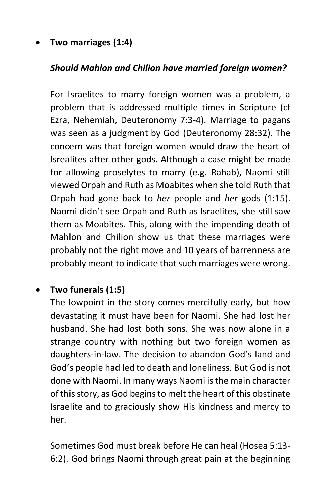#### • **Two marriages (1:4)**

#### *Should Mahlon and Chilion have married foreign women?*

For Israelites to marry foreign women was a problem, a problem that is addressed multiple times in Scripture (cf Ezra, Nehemiah, Deuteronomy 7:3-4). Marriage to pagans was seen as a judgment by God (Deuteronomy 28:32). The concern was that foreign women would draw the heart of Isrealites after other gods. Although a case might be made for allowing proselytes to marry (e.g. Rahab), Naomi still viewed Orpah and Ruth as Moabites when she told Ruth that Orpah had gone back to *her* people and *her* gods (1:15). Naomi didn't see Orpah and Ruth as Israelites, she still saw them as Moabites. This, along with the impending death of Mahlon and Chilion show us that these marriages were probably not the right move and 10 years of barrenness are probably meant to indicate that such marriages were wrong.

#### • **Two funerals (1:5)**

The lowpoint in the story comes mercifully early, but how devastating it must have been for Naomi. She had lost her husband. She had lost both sons. She was now alone in a strange country with nothing but two foreign women as daughters-in-law. The decision to abandon God's land and God's people had led to death and loneliness. But God is not done with Naomi. In many ways Naomi is the main character of this story, as God begins to melt the heart of this obstinate Israelite and to graciously show His kindness and mercy to her.

Sometimes God must break before He can heal (Hosea 5:13- 6:2). God brings Naomi through great pain at the beginning